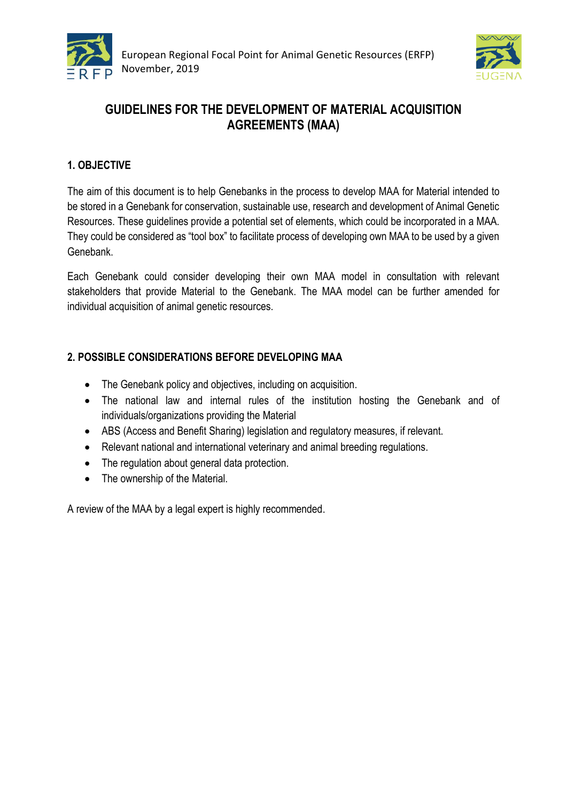



# **GUIDELINES FOR THE DEVELOPMENT OF MATERIAL ACQUISITION AGREEMENTS (MAA)**

### **1. OBJECTIVE**

The aim of this document is to help Genebanks in the process to develop MAA for Material intended to be stored in a Genebank for conservation, sustainable use, research and development of Animal Genetic Resources. These guidelines provide a potential set of elements, which could be incorporated in a MAA. They could be considered as "tool box" to facilitate process of developing own MAA to be used by a given Genebank.

Each Genebank could consider developing their own MAA model in consultation with relevant stakeholders that provide Material to the Genebank. The MAA model can be further amended for individual acquisition of animal genetic resources.

## **2. POSSIBLE CONSIDERATIONS BEFORE DEVELOPING MAA**

- The Genebank policy and objectives, including on acquisition.
- The national law and internal rules of the institution hosting the Genebank and of individuals/organizations providing the Material
- ABS (Access and Benefit Sharing) legislation and regulatory measures, if relevant.
- Relevant national and international veterinary and animal breeding regulations.
- The regulation about general data protection.
- The ownership of the Material.

A review of the MAA by a legal expert is highly recommended.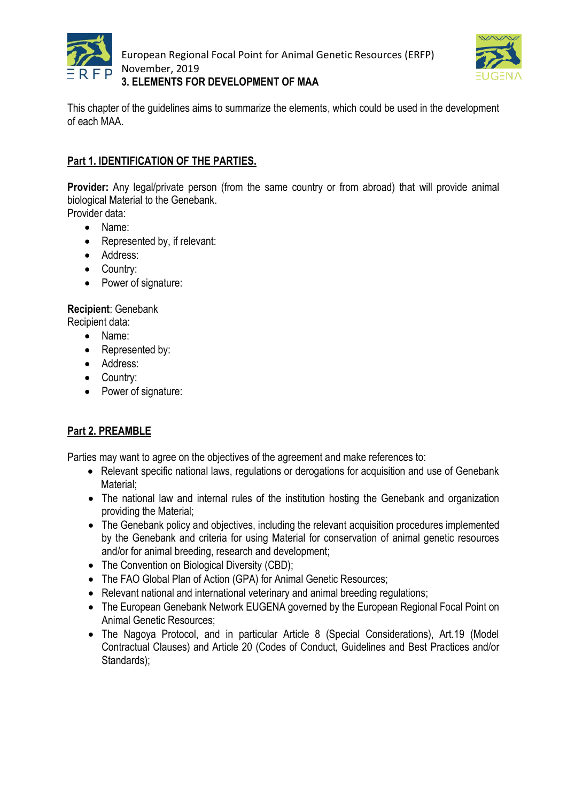



## **3. ELEMENTS FOR DEVELOPMENT OF MAA**

This chapter of the guidelines aims to summarize the elements, which could be used in the development of each MAA.

## **Part 1. IDENTIFICATION OF THE PARTIES.**

**Provider:** Any legal/private person (from the same country or from abroad) that will provide animal biological Material to the Genebank.

- Provider data: Name:
	- Represented by, if relevant:
	- Address:
	- Country:
	- Power of signature:

**Recipient**: Genebank

Recipient data:

- Name:
- Represented by:
- Address:
- Country:
- Power of signature:

## **Part 2. PREAMBLE**

Parties may want to agree on the objectives of the agreement and make references to:

- Relevant specific national laws, regulations or derogations for acquisition and use of Genebank Material;
- The national law and internal rules of the institution hosting the Genebank and organization providing the Material;
- The Genebank policy and objectives, including the relevant acquisition procedures implemented by the Genebank and criteria for using Material for conservation of animal genetic resources and/or for animal breeding, research and development;
- The Convention on Biological Diversity (CBD);
- The FAO Global Plan of Action (GPA) for Animal Genetic Resources;
- Relevant national and international veterinary and animal breeding regulations;
- The European Genebank Network EUGENA governed by the European Regional Focal Point on Animal Genetic Resources;
- The Nagoya Protocol, and in particular Article 8 (Special Considerations), Art.19 (Model Contractual Clauses) and Article 20 (Codes of Conduct, Guidelines and Best Practices and/or Standards);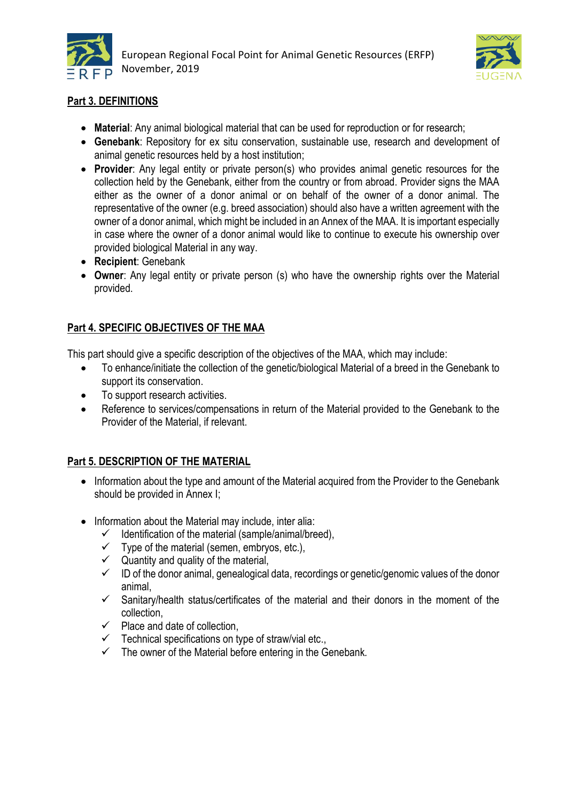



### **Part 3. DEFINITIONS**

- **Material**: Any animal biological material that can be used for reproduction or for research;
- **Genebank**: Repository for ex situ conservation, sustainable use, research and development of animal genetic resources held by a host institution;
- **Provider**: Any legal entity or private person(s) who provides animal genetic resources for the collection held by the Genebank, either from the country or from abroad. Provider signs the MAA either as the owner of a donor animal or on behalf of the owner of a donor animal. The representative of the owner (e.g. breed association) should also have a written agreement with the owner of a donor animal, which might be included in an Annex of the MAA. It is important especially in case where the owner of a donor animal would like to continue to execute his ownership over provided biological Material in any way.
- **Recipient**: Genebank
- **Owner**: Any legal entity or private person (s) who have the ownership rights over the Material provided.

## **Part 4. SPECIFIC OBJECTIVES OF THE MAA**

This part should give a specific description of the objectives of the MAA, which may include:

- To enhance/initiate the collection of the genetic/biological Material of a breed in the Genebank to support its conservation.
- To support research activities.
- Reference to services/compensations in return of the Material provided to the Genebank to the Provider of the Material, if relevant.

### **Part 5. DESCRIPTION OF THE MATERIAL**

- Information about the type and amount of the Material acquired from the Provider to the Genebank should be provided in Annex I;
- Information about the Material may include, inter alia:
	- Identification of the material (sample/animal/breed),
	- $\checkmark$  Type of the material (semen, embryos, etc.),
	- $\checkmark$  Quantity and quality of the material.
	- $\checkmark$  ID of the donor animal, genealogical data, recordings or genetic/genomic values of the donor animal,
	- $\checkmark$  Sanitary/health status/certificates of the material and their donors in the moment of the collection,
	- $\checkmark$  Place and date of collection,
	- $\checkmark$  Technical specifications on type of straw/vial etc.,
	- The owner of the Material before entering in the Genebank*.*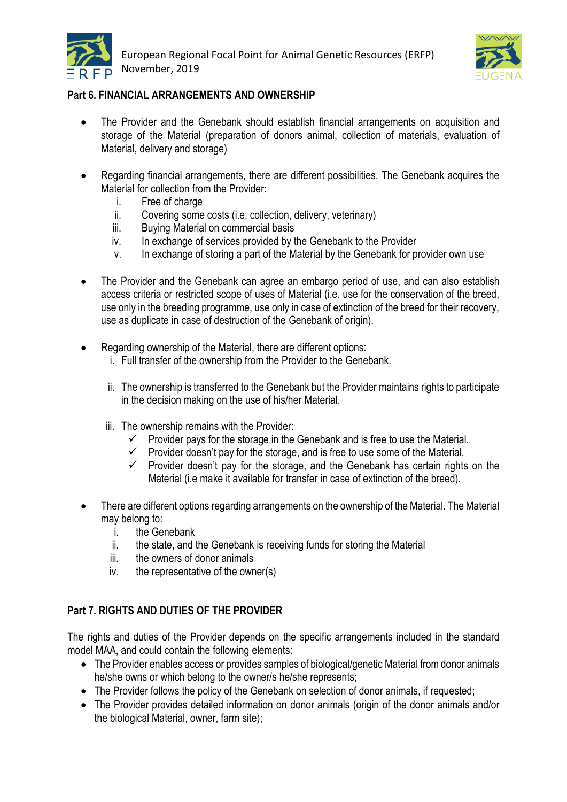



## **Part 6. FINANCIAL ARRANGEMENTS AND OWNERSHIP**

- The Provider and the Genebank should establish financial arrangements on acquisition and storage of the Material (preparation of donors animal, collection of materials, evaluation of Material, delivery and storage)
- Regarding financial arrangements, there are different possibilities. The Genebank acquires the Material for collection from the Provider:
	- i. Free of charge
	- ii. Covering some costs (i.e. collection, delivery, veterinary)
	- iii. Buying Material on commercial basis
	- iv. In exchange of services provided by the Genebank to the Provider
	- v. In exchange of storing a part of the Material by the Genebank for provider own use
- The Provider and the Genebank can agree an embargo period of use, and can also establish access criteria or restricted scope of uses of Material (i.e. use for the conservation of the breed, use only in the breeding programme, use only in case of extinction of the breed for their recovery, use as duplicate in case of destruction of the Genebank of origin).
- Regarding ownership of the Material, there are different options:
	- i. Full transfer of the ownership from the Provider to the Genebank.
	- ii. The ownership is transferred to the Genebank but the Provider maintains rights to participate in the decision making on the use of his/her Material.
	- iii. The ownership remains with the Provider:
		- $\checkmark$  Provider pays for the storage in the Genebank and is free to use the Material.
		- $\checkmark$  Provider doesn't pay for the storage, and is free to use some of the Material.
		- $\checkmark$  Provider doesn't pay for the storage, and the Genebank has certain rights on the Material (i.e make it available for transfer in case of extinction of the breed).
- There are different options regarding arrangements on the ownership of the Material. The Material may belong to:
	- i. the Genebank
	- ii. the state, and the Genebank is receiving funds for storing the Material
	- iii. the owners of donor animals
	- iv. the representative of the owner(s)

## **Part 7. RIGHTS AND DUTIES OF THE PROVIDER**

The rights and duties of the Provider depends on the specific arrangements included in the standard model MAA, and could contain the following elements:

- The Provider enables access or provides samples of biological/genetic Material from donor animals he/she owns or which belong to the owner/s he/she represents;
- The Provider follows the policy of the Genebank on selection of donor animals, if requested;
- The Provider provides detailed information on donor animals (origin of the donor animals and/or the biological Material, owner, farm site);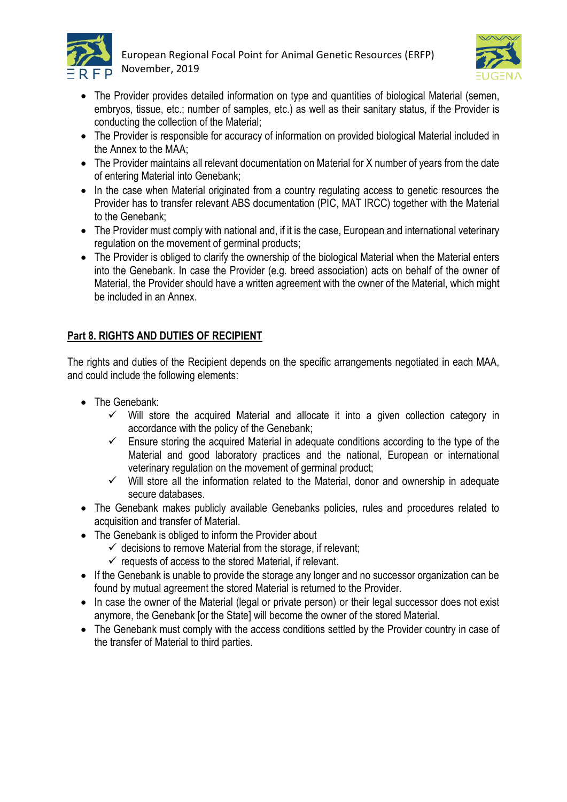



- The Provider provides detailed information on type and quantities of biological Material (semen, embryos, tissue, etc.; number of samples, etc.) as well as their sanitary status, if the Provider is conducting the collection of the Material;
- The Provider is responsible for accuracy of information on provided biological Material included in the Annex to the MAA;
- The Provider maintains all relevant documentation on Material for X number of years from the date of entering Material into Genebank;
- In the case when Material originated from a country regulating access to genetic resources the Provider has to transfer relevant ABS documentation (PIC, MAT IRCC) together with the Material to the Genebank;
- The Provider must comply with national and, if it is the case, European and international veterinary regulation on the movement of germinal products;
- The Provider is obliged to clarify the ownership of the biological Material when the Material enters into the Genebank. In case the Provider (e.g. breed association) acts on behalf of the owner of Material, the Provider should have a written agreement with the owner of the Material, which might be included in an Annex.

## **Part 8. RIGHTS AND DUTIES OF RECIPIENT**

The rights and duties of the Recipient depends on the specific arrangements negotiated in each MAA, and could include the following elements:

- The Genebank:
	- Will store the acquired Material and allocate it into a given collection category in accordance with the policy of the Genebank;
	- $\checkmark$  Ensure storing the acquired Material in adequate conditions according to the type of the Material and good laboratory practices and the national, European or international veterinary regulation on the movement of germinal product;
	- $\checkmark$  Will store all the information related to the Material, donor and ownership in adequate secure databases.
- The Genebank makes publicly available Genebanks policies, rules and procedures related to acquisition and transfer of Material.
- The Genebank is obliged to inform the Provider about
	- $\checkmark$  decisions to remove Material from the storage, if relevant;
	- $\checkmark$  requests of access to the stored Material, if relevant.
- If the Genebank is unable to provide the storage any longer and no successor organization can be found by mutual agreement the stored Material is returned to the Provider.
- In case the owner of the Material (legal or private person) or their legal successor does not exist anymore, the Genebank [or the State] will become the owner of the stored Material.
- The Genebank must comply with the access conditions settled by the Provider country in case of the transfer of Material to third parties.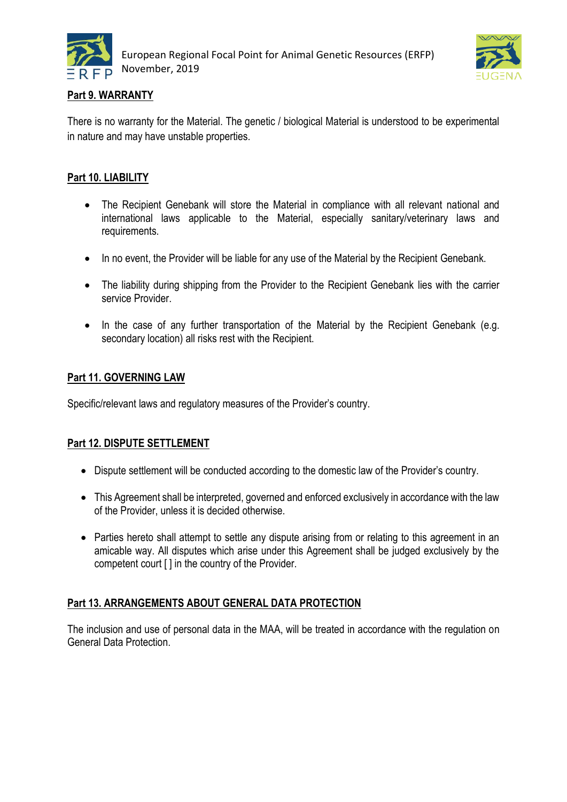



## **Part 9. WARRANTY**

There is no warranty for the Material. The genetic / biological Material is understood to be experimental in nature and may have unstable properties.

### **Part 10. LIABILITY**

- The Recipient Genebank will store the Material in compliance with all relevant national and international laws applicable to the Material, especially sanitary/veterinary laws and requirements.
- In no event, the Provider will be liable for any use of the Material by the Recipient Genebank.
- The liability during shipping from the Provider to the Recipient Genebank lies with the carrier service Provider.
- In the case of any further transportation of the Material by the Recipient Genebank (e.g. secondary location) all risks rest with the Recipient.

### **Part 11. GOVERNING LAW**

Specific/relevant laws and regulatory measures of the Provider's country.

### **Part 12. DISPUTE SETTLEMENT**

- Dispute settlement will be conducted according to the domestic law of the Provider's country.
- This Agreement shall be interpreted, governed and enforced exclusively in accordance with the law of the Provider, unless it is decided otherwise.
- Parties hereto shall attempt to settle any dispute arising from or relating to this agreement in an amicable way. All disputes which arise under this Agreement shall be judged exclusively by the competent court [ ] in the country of the Provider.

### **Part 13. ARRANGEMENTS ABOUT GENERAL DATA PROTECTION**

The inclusion and use of personal data in the MAA, will be treated in accordance with the regulation on General Data Protection.